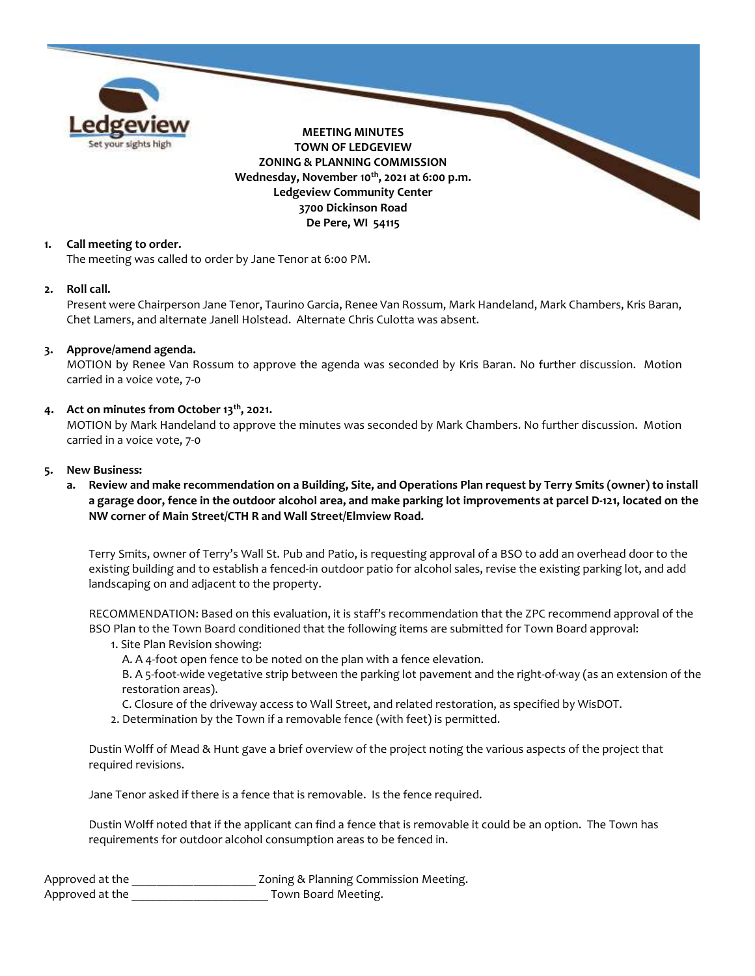

## 1. Call meeting to order.

The meeting was called to order by Jane Tenor at 6:00 PM.

#### 2. Roll call.

Present were Chairperson Jane Tenor, Taurino Garcia, Renee Van Rossum, Mark Handeland, Mark Chambers, Kris Baran, Chet Lamers, and alternate Janell Holstead. Alternate Chris Culotta was absent.

## 3. Approve/amend agenda.

MOTION by Renee Van Rossum to approve the agenda was seconded by Kris Baran. No further discussion. Motion carried in a voice vote, 7-0

## 4. Act on minutes from October  $13<sup>th</sup>$ , 2021.

MOTION by Mark Handeland to approve the minutes was seconded by Mark Chambers. No further discussion. Motion carried in a voice vote, 7-0

#### 5. New Business:

a. Review and make recommendation on a Building, Site, and Operations Plan request by Terry Smits (owner) to install a garage door, fence in the outdoor alcohol area, and make parking lot improvements at parcel D-121, located on the NW corner of Main Street/CTH R and Wall Street/Elmview Road.

Terry Smits, owner of Terry's Wall St. Pub and Patio, is requesting approval of a BSO to add an overhead door to the existing building and to establish a fenced-in outdoor patio for alcohol sales, revise the existing parking lot, and add landscaping on and adjacent to the property.

RECOMMENDATION: Based on this evaluation, it is staff's recommendation that the ZPC recommend approval of the BSO Plan to the Town Board conditioned that the following items are submitted for Town Board approval:

1. Site Plan Revision showing:

A. A 4-foot open fence to be noted on the plan with a fence elevation.

B. A 5-foot-wide vegetative strip between the parking lot pavement and the right-of-way (as an extension of the restoration areas).

C. Closure of the driveway access to Wall Street, and related restoration, as specified by WisDOT.

2. Determination by the Town if a removable fence (with feet) is permitted.

Dustin Wolff of Mead & Hunt gave a brief overview of the project noting the various aspects of the project that required revisions.

Jane Tenor asked if there is a fence that is removable. Is the fence required.

Dustin Wolff noted that if the applicant can find a fence that is removable it could be an option. The Town has requirements for outdoor alcohol consumption areas to be fenced in.

| Approved at the | Zoning & Planning Commission Meeting. |
|-----------------|---------------------------------------|
| Approved at the | Town Board Meeting.                   |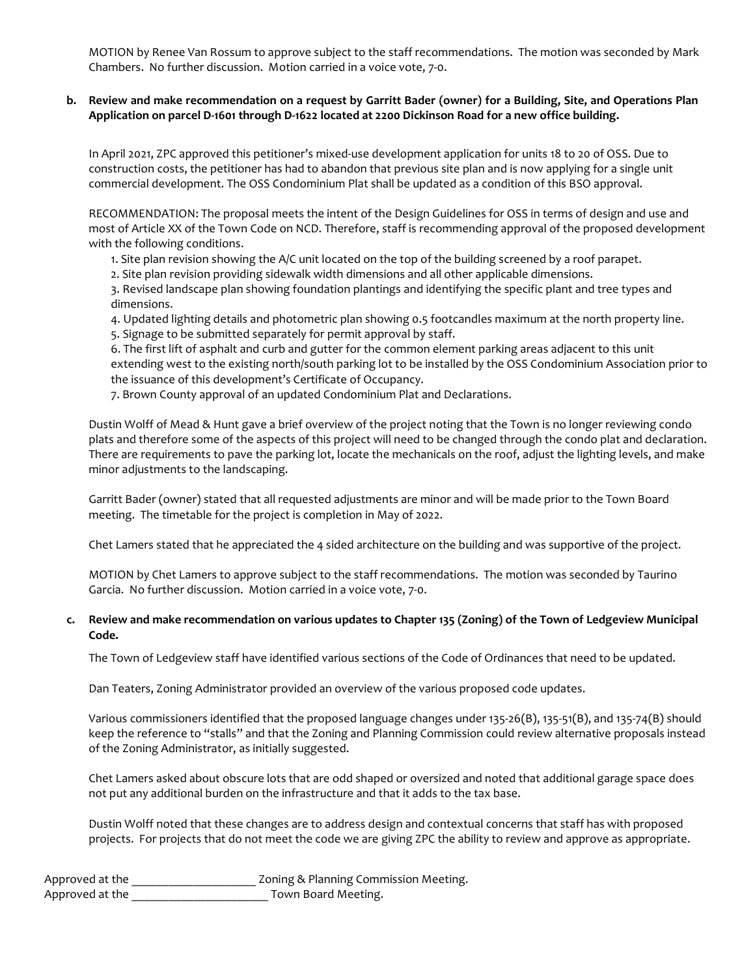MOTION by Renee Van Rossum to approve subject to the staff recommendations. The motion was seconded by Mark Chambers. No further discussion. Motion carried in a voice vote, 7-0.

## b. Review and make recommendation on a request by Garritt Bader (owner) for a Building, Site, and Operations Plan Application on parcel D-1601 through D-1622 located at 2200 Dickinson Road for a new office building.

In April 2021, ZPC approved this petitioner's mixed-use development application for units 18 to 20 of OSS. Due to construction costs, the petitioner has had to abandon that previous site plan and is now applying for a single unit commercial development. The OSS Condominium Plat shall be updated as a condition of this BSO approval.

RECOMMENDATION: The proposal meets the intent of the Design Guidelines for OSS in terms of design and use and most of Article XX of the Town Code on NCD. Therefore, staff is recommending approval of the proposed development with the following conditions.

1. Site plan revision showing the A/C unit located on the top of the building screened by a roof parapet.

2. Site plan revision providing sidewalk width dimensions and all other applicable dimensions.

3. Revised landscape plan showing foundation plantings and identifying the specific plant and tree types and dimensions.

4. Updated lighting details and photometric plan showing 0.5 footcandles maximum at the north property line.

5. Signage to be submitted separately for permit approval by staff.

6. The first lift of asphalt and curb and gutter for the common element parking areas adjacent to this unit extending west to the existing north/south parking lot to be installed by the OSS Condominium Association prior to the issuance of this development's Certificate of Occupancy.

7. Brown County approval of an updated Condominium Plat and Declarations.

Dustin Wolff of Mead & Hunt gave a brief overview of the project noting that the Town is no longer reviewing condo plats and therefore some of the aspects of this project will need to be changed through the condo plat and declaration. There are requirements to pave the parking lot, locate the mechanicals on the roof, adjust the lighting levels, and make minor adjustments to the landscaping.

Garritt Bader (owner) stated that all requested adjustments are minor and will be made prior to the Town Board meeting. The timetable for the project is completion in May of 2022.

Chet Lamers stated that he appreciated the 4 sided architecture on the building and was supportive of the project.

MOTION by Chet Lamers to approve subject to the staff recommendations. The motion was seconded by Taurino Garcia. No further discussion. Motion carried in a voice vote, 7-0.

## c. Review and make recommendation on various updates to Chapter 135 (Zoning) of the Town of Ledgeview Municipal Code.

The Town of Ledgeview staff have identified various sections of the Code of Ordinances that need to be updated.

Dan Teaters, Zoning Administrator provided an overview of the various proposed code updates.

Various commissioners identified that the proposed language changes under 135-26(B), 135-51(B), and 135-74(B) should keep the reference to "stalls" and that the Zoning and Planning Commission could review alternative proposals instead of the Zoning Administrator, as initially suggested.

Chet Lamers asked about obscure lots that are odd shaped or oversized and noted that additional garage space does not put any additional burden on the infrastructure and that it adds to the tax base.

Dustin Wolff noted that these changes are to address design and contextual concerns that staff has with proposed projects. For projects that do not meet the code we are giving ZPC the ability to review and approve as appropriate.

| Approved at the | Zoning & Planning Commission Meeting. |
|-----------------|---------------------------------------|
| Approved at the | Town Board Meeting.                   |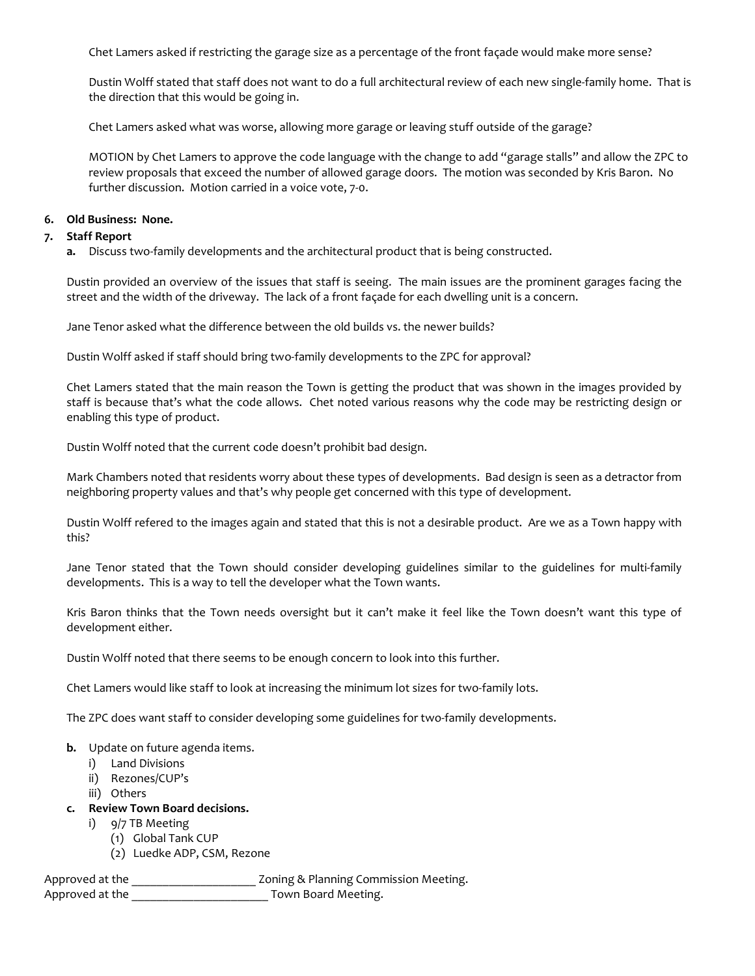Chet Lamers asked if restricting the garage size as a percentage of the front façade would make more sense?

Dustin Wolff stated that staff does not want to do a full architectural review of each new single-family home. That is the direction that this would be going in.

Chet Lamers asked what was worse, allowing more garage or leaving stuff outside of the garage?

MOTION by Chet Lamers to approve the code language with the change to add "garage stalls" and allow the ZPC to review proposals that exceed the number of allowed garage doors. The motion was seconded by Kris Baron. No further discussion. Motion carried in a voice vote, 7-0.

#### 6. Old Business: None.

#### 7. Staff Report

a. Discuss two-family developments and the architectural product that is being constructed.

Dustin provided an overview of the issues that staff is seeing. The main issues are the prominent garages facing the street and the width of the driveway. The lack of a front façade for each dwelling unit is a concern.

Jane Tenor asked what the difference between the old builds vs. the newer builds?

Dustin Wolff asked if staff should bring two-family developments to the ZPC for approval?

Chet Lamers stated that the main reason the Town is getting the product that was shown in the images provided by staff is because that's what the code allows. Chet noted various reasons why the code may be restricting design or enabling this type of product.

Dustin Wolff noted that the current code doesn't prohibit bad design.

Mark Chambers noted that residents worry about these types of developments. Bad design is seen as a detractor from neighboring property values and that's why people get concerned with this type of development.

Dustin Wolff refered to the images again and stated that this is not a desirable product. Are we as a Town happy with this?

Jane Tenor stated that the Town should consider developing guidelines similar to the guidelines for multi-family developments. This is a way to tell the developer what the Town wants.

Kris Baron thinks that the Town needs oversight but it can't make it feel like the Town doesn't want this type of development either.

Dustin Wolff noted that there seems to be enough concern to look into this further.

Chet Lamers would like staff to look at increasing the minimum lot sizes for two-family lots.

The ZPC does want staff to consider developing some guidelines for two-family developments.

## **b.** Update on future agenda items.

- i) Land Divisions
- ii) Rezones/CUP's
- iii) Others

## c. Review Town Board decisions.

- i) 9/7 TB Meeting
	- (1) Global Tank CUP
	- (2) Luedke ADP, CSM, Rezone

Approved at the \_\_\_\_\_\_\_\_\_\_\_\_\_\_\_\_\_\_\_\_\_\_\_\_ Zoning & Planning Commission Meeting.

Approved at the \_\_\_\_\_\_\_\_\_\_\_\_\_\_\_\_\_\_\_\_\_\_\_\_\_\_\_ Town Board Meeting.